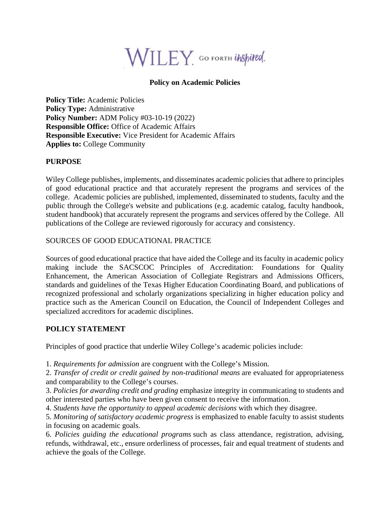

### **Policy on Academic Policies**

**Policy Title:** Academic Policies **Policy Type:** Administrative **Policy Number:** ADM Policy #03-10-19 (2022) **Responsible Office:** Office of Academic Affairs **Responsible Executive:** Vice President for Academic Affairs **Applies to:** College Community

#### **PURPOSE**

Wiley College publishes, implements, and disseminates academic policies that adhere to principles of good educational practice and that accurately represent the programs and services of the college.Academic policies are published, implemented, disseminated to students, faculty and the public through the College's website and publications (e.g. academic catalog, faculty handbook, student handbook) that accurately represent the programs and services offered by the College. All publications of the College are reviewed rigorously for accuracy and consistency.

#### SOURCES OF GOOD EDUCATIONAL PRACTICE

Sources of good educational practice that have aided the College and its faculty in academic policy making include the SACSCOC Principles of Accreditation: Foundations for Quality Enhancement, the American Association of Collegiate Registrars and Admissions Officers, standards and guidelines of the Texas Higher Education Coordinating Board, and publications of recognized professional and scholarly organizations specializing in higher education policy and practice such as the American Council on Education, the Council of Independent Colleges and specialized accreditors for academic disciplines.

#### **POLICY STATEMENT**

Principles of good practice that underlie Wiley College's academic policies include:

1. *Requirements for admission* are congruent with the College's Mission.

2. *Transfer of credit or credit gained by non-traditional means* are evaluated for appropriateness and comparability to the College's courses.

- 3. *Policies for awarding credit and grading* emphasize integrity in communicating to students and other interested parties who have been given consent to receive the information.
- 4. *Students have the opportunity to appeal academic decisions* with which they disagree.

5. *Monitoring of satisfactory academic progress* is emphasized to enable faculty to assist students in focusing on academic goals.

6. *Policies guiding the educational programs* such as class attendance, registration, advising, refunds, withdrawal, etc., ensure orderliness of processes, fair and equal treatment of students and achieve the goals of the College.